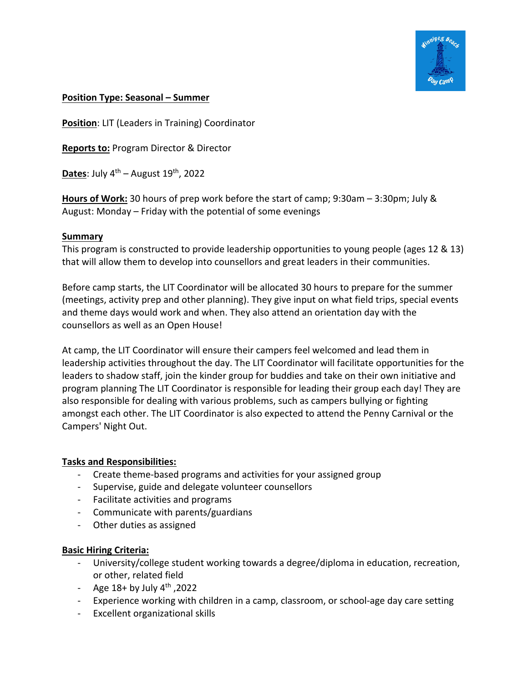

# **Position Type: Seasonal – Summer**

**Position**: LIT (Leaders in Training) Coordinator

**Reports to:** Program Director & Director

**Dates:** July  $4^{th}$  – August  $19^{th}$ , 2022

**Hours of Work:** 30 hours of prep work before the start of camp; 9:30am – 3:30pm; July & August: Monday – Friday with the potential of some evenings

### **Summary**

This program is constructed to provide leadership opportunities to young people (ages 12 & 13) that will allow them to develop into counsellors and great leaders in their communities.

Before camp starts, the LIT Coordinator will be allocated 30 hours to prepare for the summer (meetings, activity prep and other planning). They give input on what field trips, special events and theme days would work and when. They also attend an orientation day with the counsellors as well as an Open House!

At camp, the LIT Coordinator will ensure their campers feel welcomed and lead them in leadership activities throughout the day. The LIT Coordinator will facilitate opportunities for the leaders to shadow staff, join the kinder group for buddies and take on their own initiative and program planning The LIT Coordinator is responsible for leading their group each day! They are also responsible for dealing with various problems, such as campers bullying or fighting amongst each other. The LIT Coordinator is also expected to attend the Penny Carnival or the Campers' Night Out.

### **Tasks and Responsibilities:**

- Create theme-based programs and activities for your assigned group
- Supervise, guide and delegate volunteer counsellors
- Facilitate activities and programs
- Communicate with parents/guardians
- Other duties as assigned

### **Basic Hiring Criteria:**

- University/college student working towards a degree/diploma in education, recreation, or other, related field
- Age  $18+$  by July  $4<sup>th</sup>$ , 2022
- Experience working with children in a camp, classroom, or school-age day care setting
- Excellent organizational skills